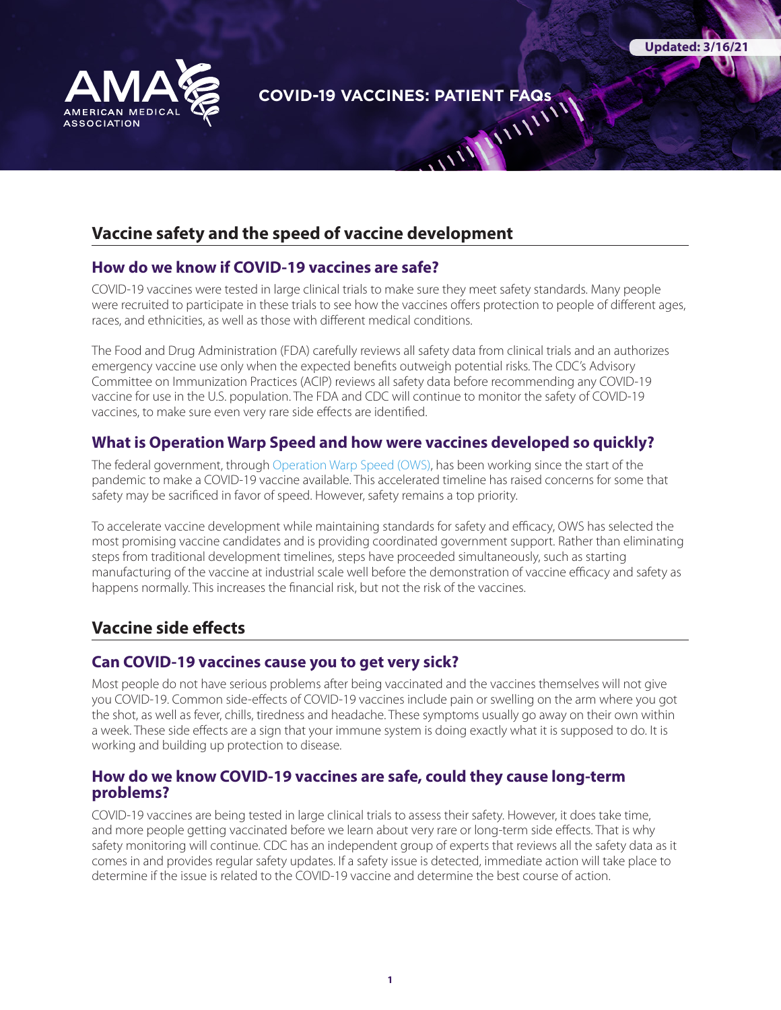

**COVID-19 VACCINES: PATIENT FAQs** 

**Updated: 3/16/21**

# **Vaccine safety and the speed of vaccine development**

#### **How do we know if COVID-19 vaccines are safe?**

COVID-19 vaccines were tested in large clinical trials to make sure they meet safety standards. Many people were recruited to participate in these trials to see how the vaccines offers protection to people of different ages, races, and ethnicities, as well as those with different medical conditions.

The Food and Drug Administration (FDA) carefully reviews all safety data from clinical trials and an authorizes emergency vaccine use only when the expected benefits outweigh potential risks. The CDC's Advisory Committee on Immunization Practices (ACIP) reviews all safety data before recommending any COVID-19 vaccine for use in the U.S. population. The FDA and CDC will continue to monitor the safety of COVID-19 vaccines, to make sure even very rare side effects are identified.

### **What is Operation Warp Speed and how were vaccines developed so quickly?**

The federal government, through [Operation Warp Speed \(OWS\),](https://www.hhs.gov/coronavirus/explaining-operation-warp-speed/index.html) has been working since the start of the pandemic to make a COVID-19 vaccine available. This accelerated timeline has raised concerns for some that safety may be sacrificed in favor of speed. However, safety remains a top priority.

To accelerate vaccine development while maintaining standards for safety and efficacy, OWS has selected the most promising vaccine candidates and is providing coordinated government support. Rather than eliminating steps from traditional development timelines, steps have proceeded simultaneously, such as starting manufacturing of the vaccine at industrial scale well before the demonstration of vaccine efficacy and safety as happens normally. This increases the financial risk, but not the risk of the vaccines.

# **Vaccine side effects**

## **Can COVID-19 vaccines cause you to get very sick?**

Most people do not have serious problems after being vaccinated and the vaccines themselves will not give you COVID-19. Common side-effects of COVID-19 vaccines include pain or swelling on the arm where you got the shot, as well as fever, chills, tiredness and headache. These symptoms usually go away on their own within a week. These side effects are a sign that your immune system is doing exactly what it is supposed to do. It is working and building up protection to disease.

### **How do we know COVID-19 vaccines are safe, could they cause long-term problems?**

COVID-19 vaccines are being tested in large clinical trials to assess their safety. However, it does take time, and more people getting vaccinated before we learn about very rare or long-term side effects. That is why safety monitoring will continue. CDC has an independent group of experts that reviews all the safety data as it comes in and provides regular safety updates. If a safety issue is detected, immediate action will take place to determine if the issue is related to the COVID-19 vaccine and determine the best course of action.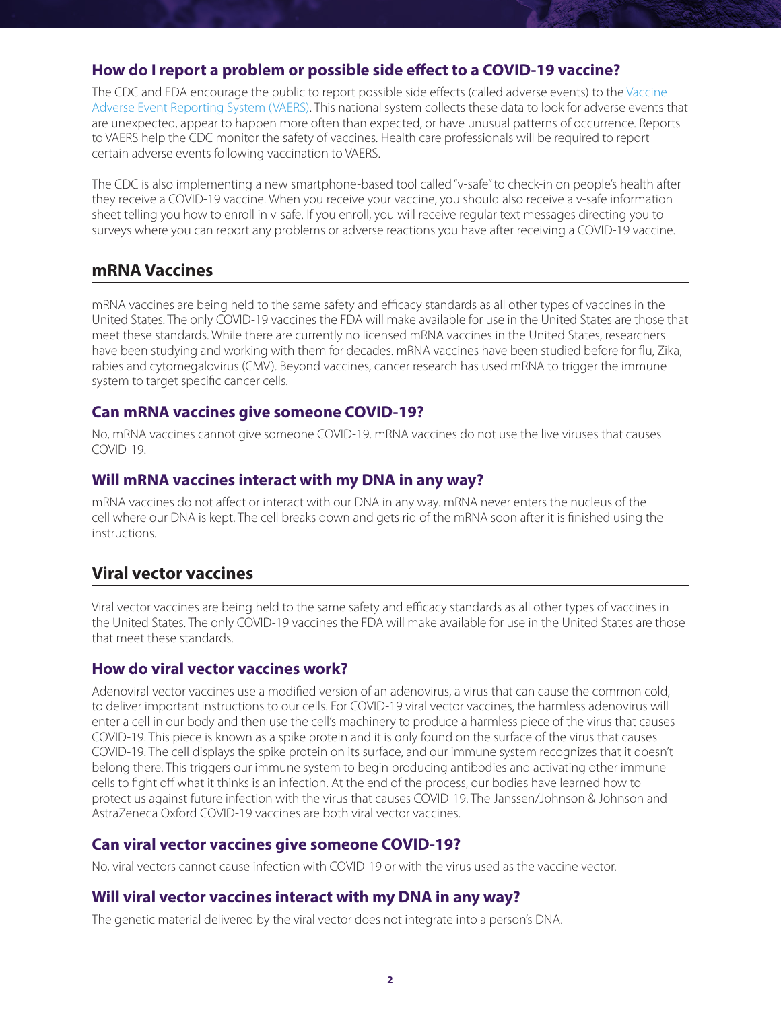### **How do I report a problem or possible side effect to a COVID-19 vaccine?**

The CDC and FDA encourage the public to report possible side effects (called adverse events) to the [Vaccine](https://vaers.hhs.gov/reportevent.html)  [Adverse Event Reporting System \(VAERS\).](https://vaers.hhs.gov/reportevent.html) This national system collects these data to look for adverse events that are unexpected, appear to happen more often than expected, or have unusual patterns of occurrence. Reports to VAERS help the CDC monitor the safety of vaccines. Health care professionals will be required to report certain adverse events following vaccination to VAERS.

The CDC is also implementing a new smartphone-based tool called "v-safe" to check-in on people's health after they receive a COVID-19 vaccine. When you receive your vaccine, you should also receive a v-safe information sheet telling you how to enroll in v-safe. If you enroll, you will receive regular text messages directing you to surveys where you can report any problems or adverse reactions you have after receiving a COVID-19 vaccine.

## **mRNA Vaccines**

mRNA vaccines are being held to the same safety and efficacy standards as all other types of vaccines in the United States. The only COVID-19 vaccines the FDA will make available for use in the United States are those that meet these standards. While there are currently no licensed mRNA vaccines in the United States, researchers have been studying and working with them for decades. mRNA vaccines have been studied before for flu, Zika, rabies and cytomegalovirus (CMV). Beyond vaccines, cancer research has used mRNA to trigger the immune system to target specific cancer cells.

### **Can mRNA vaccines give someone COVID-19?**

No, mRNA vaccines cannot give someone COVID-19. mRNA vaccines do not use the live viruses that causes COVID-19.

### **Will mRNA vaccines interact with my DNA in any way?**

mRNA vaccines do not affect or interact with our DNA in any way. mRNA never enters the nucleus of the cell where our DNA is kept. The cell breaks down and gets rid of the mRNA soon after it is finished using the instructions.

# **Viral vector vaccines**

Viral vector vaccines are being held to the same safety and efficacy standards as all other types of vaccines in the United States. The only COVID-19 vaccines the FDA will make available for use in the United States are those that meet these standards.

### **How do viral vector vaccines work?**

Adenoviral vector vaccines use a modified version of an adenovirus, a virus that can cause the common cold, to deliver important instructions to our cells. For COVID-19 viral vector vaccines, the harmless adenovirus will enter a cell in our body and then use the cell's machinery to produce a harmless piece of the virus that causes COVID-19. This piece is known as a spike protein and it is only found on the surface of the virus that causes COVID-19. The cell displays the spike protein on its surface, and our immune system recognizes that it doesn't belong there. This triggers our immune system to begin producing antibodies and activating other immune cells to fight off what it thinks is an infection. At the end of the process, our bodies have learned how to protect us against future infection with the virus that causes COVID-19. The Janssen/Johnson & Johnson and AstraZeneca Oxford COVID-19 vaccines are both viral vector vaccines.

## **Can viral vector vaccines give someone COVID-19?**

No, viral vectors cannot cause infection with COVID-19 or with the virus used as the vaccine vector.

### **Will viral vector vaccines interact with my DNA in any way?**

The genetic material delivered by the viral vector does not integrate into a person's DNA.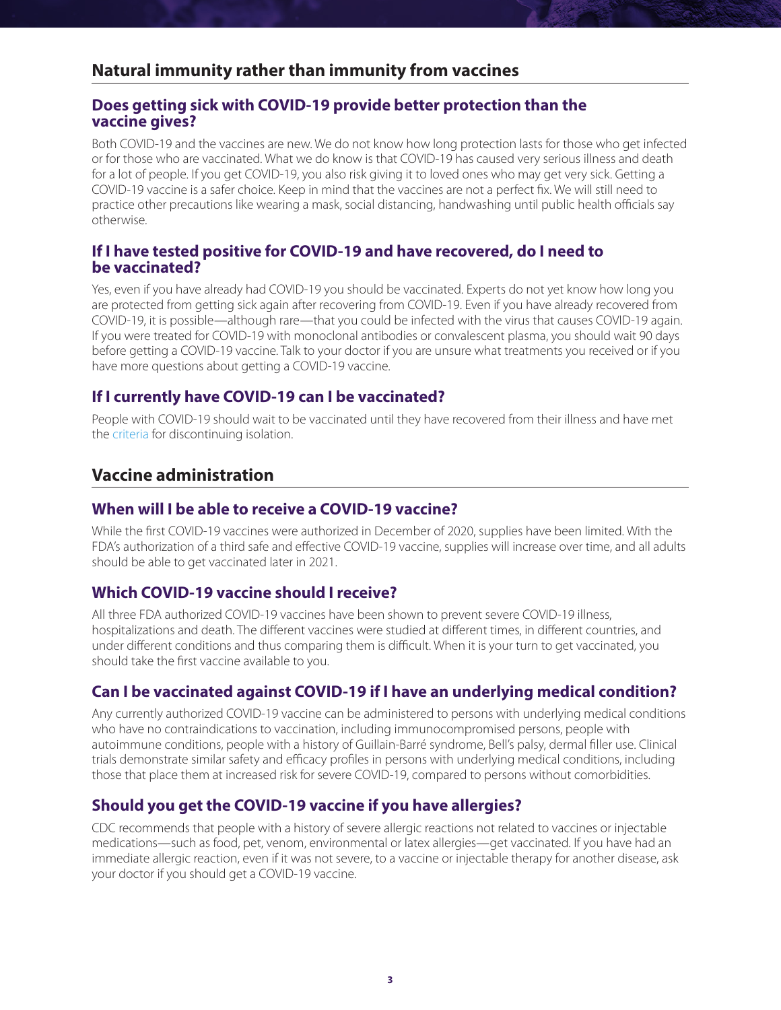# **Natural immunity rather than immunity from vaccines**

#### **Does getting sick with COVID-19 provide better protection than the vaccine gives?**

Both COVID-19 and the vaccines are new. We do not know how long protection lasts for those who get infected or for those who are vaccinated. What we do know is that COVID-19 has caused very serious illness and death for a lot of people. If you get COVID-19, you also risk giving it to loved ones who may get very sick. Getting a COVID-19 vaccine is a safer choice. Keep in mind that the vaccines are not a perfect fix. We will still need to practice other precautions like wearing a mask, social distancing, handwashing until public health officials say otherwise.

### **If I have tested positive for COVID-19 and have recovered, do I need to be vaccinated?**

Yes, even if you have already had COVID-19 you should be vaccinated. Experts do not yet know how long you are protected from getting sick again after recovering from COVID-19. Even if you have already recovered from COVID-19, it is possible—although rare—that you could be infected with the virus that causes COVID-19 again. If you were treated for COVID-19 with monoclonal antibodies or convalescent plasma, you should wait 90 days before getting a COVID-19 vaccine. Talk to your doctor if you are unsure what treatments you received or if you have more questions about getting a COVID-19 vaccine.

### **If I currently have COVID-19 can I be vaccinated?**

People with COVID-19 should wait to be vaccinated until they have recovered from their illness and have met the [criteria](https://www.cdc.gov/coronavirus/2019-ncov/hcp/disposition-in-home-patients.html) for discontinuing isolation.

## **Vaccine administration**

### **When will I be able to receive a COVID-19 vaccine?**

While the first COVID-19 vaccines were authorized in December of 2020, supplies have been limited. With the FDA's authorization of a third safe and effective COVID-19 vaccine, supplies will increase over time, and all adults should be able to get vaccinated later in 2021.

### **Which COVID-19 vaccine should I receive?**

All three FDA authorized COVID-19 vaccines have been shown to prevent severe COVID-19 illness, hospitalizations and death. The different vaccines were studied at different times, in different countries, and under different conditions and thus comparing them is difficult. When it is your turn to get vaccinated, you should take the first vaccine available to you.

### **Can I be vaccinated against COVID-19 if I have an underlying medical condition?**

Any currently authorized COVID-19 vaccine can be administered to persons with underlying medical conditions who have no contraindications to vaccination, including immunocompromised persons, people with autoimmune conditions, people with a history of Guillain-Barré syndrome, Bell's palsy, dermal filler use. Clinical trials demonstrate similar safety and efficacy profiles in persons with underlying medical conditions, including those that place them at increased risk for severe COVID-19, compared to persons without comorbidities.

### **Should you get the COVID-19 vaccine if you have allergies?**

CDC recommends that people with a history of severe allergic reactions not related to vaccines or injectable medications—such as food, pet, venom, environmental or latex allergies—get vaccinated. If you have had an immediate allergic reaction, even if it was not severe, to a vaccine or injectable therapy for another disease, ask your doctor if you should get a COVID-19 vaccine.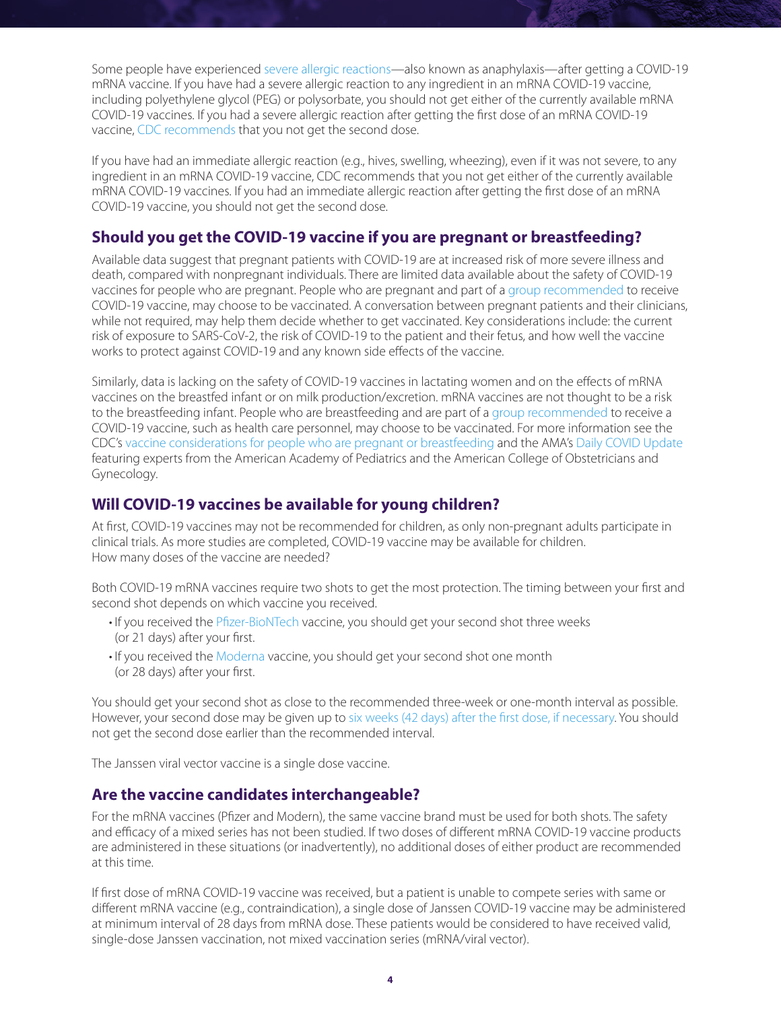Some people have experienced [severe allergic reactions—](https://www.cdc.gov/coronavirus/2019-ncov/vaccines/safety/allergic-reaction.html)also known as anaphylaxis—after getting a COVID-19 mRNA vaccine. If you have had a severe allergic reaction to any ingredient in an mRNA COVID-19 vaccine, including polyethylene glycol (PEG) or polysorbate, you should not get either of the currently available mRNA COVID-19 vaccines. If you had a severe allergic reaction after getting the first dose of an mRNA COVID-19 vaccine, [CDC recommends](https://www.cdc.gov/vaccines/covid-19/info-by-product/clinical-considerations.html?CDC_AA_refVal=https://www.cdc.gov/vaccines/covid-19/info-by-product/pfizer/clinical-considerations.html) that you not get the second dose.

If you have had an immediate allergic reaction (e.g., hives, swelling, wheezing), even if it was not severe, to any ingredient in an mRNA COVID-19 vaccine, CDC recommends that you not get either of the currently available mRNA COVID-19 vaccines. If you had an immediate allergic reaction after getting the first dose of an mRNA COVID-19 vaccine, you should not get the second dose.

### **Should you get the COVID-19 vaccine if you are pregnant or breastfeeding?**

Available data suggest that pregnant patients with COVID-19 are at increased risk of more severe illness and death, compared with nonpregnant individuals. There are limited data available about the safety of COVID-19 vaccines for people who are pregnant. People who are pregnant and part of a [group recommended](https://www.cdc.gov/coronavirus/2019-ncov/vaccines/recommendations.html) to receive COVID-19 vaccine, may choose to be vaccinated. A conversation between pregnant patients and their clinicians, while not required, may help them decide whether to get vaccinated. Key considerations include: the current risk of exposure to SARS-CoV-2, the risk of COVID-19 to the patient and their fetus, and how well the vaccine works to protect against COVID-19 and any known side effects of the vaccine.

Similarly, data is lacking on the safety of COVID-19 vaccines in lactating women and on the effects of mRNA vaccines on the breastfed infant or on milk production/excretion. mRNA vaccines are not thought to be a risk to the breastfeeding infant. People who are breastfeeding and are part of a [group recommended](https://www.cdc.gov/coronavirus/2019-ncov/vaccines/recommendations.html) to receive a COVID-19 vaccine, such as health care personnel, may choose to be vaccinated. For more information see the CDC's [vaccine considerations for people who are pregnant or breastfeeding](https://www.cdc.gov/coronavirus/2019-ncov/vaccines/recommendations/pregnancy.html) and the AMA's [Daily COVID Update](https://www.youtube.com/watch?v=YzYVoFAVMLc&feature=youtu.be) featuring experts from the American Academy of Pediatrics and the American College of Obstetricians and Gynecology.

### **Will COVID-19 vaccines be available for young children?**

At first, COVID-19 vaccines may not be recommended for children, as only non-pregnant adults participate in clinical trials. As more studies are completed, COVID-19 vaccine may be available for children. How many doses of the vaccine are needed?

Both COVID-19 mRNA vaccines require two shots to get the most protection. The timing between your first and second shot depends on which vaccine you received.

- If you received the [Pfizer-BioNTech](https://www.cdc.gov/coronavirus/2019-ncov/vaccines/different-vaccines/Pfizer-BioNTech.html) vaccine, you should get your second shot three weeks (or 21 days) after your first.
- If you received the [Moderna](https://www.cdc.gov/coronavirus/2019-ncov/vaccines/different-vaccines/Moderna.html) vaccine, you should get your second shot one month (or 28 days) after your first.

You should get your second shot as close to the recommended three-week or one-month interval as possible. However, your second dose may be given up to [six weeks \(42 days\) after the first dose, if necessary.](https://www.cdc.gov/vaccines/covid-19/info-by-product/clinical-considerations.html#Administration) You should not get the second dose earlier than the recommended interval.

The Janssen viral vector vaccine is a single dose vaccine.

### **Are the vaccine candidates interchangeable?**

For the mRNA vaccines (Pfizer and Modern), the same vaccine brand must be used for both shots. The safety and efficacy of a mixed series has not been studied. If two doses of different mRNA COVID-19 vaccine products are administered in these situations (or inadvertently), no additional doses of either product are recommended at this time.

If first dose of mRNA COVID-19 vaccine was received, but a patient is unable to compete series with same or different mRNA vaccine (e.g., contraindication), a single dose of Janssen COVID-19 vaccine may be administered at minimum interval of 28 days from mRNA dose. These patients would be considered to have received valid, single-dose Janssen vaccination, not mixed vaccination series (mRNA/viral vector).